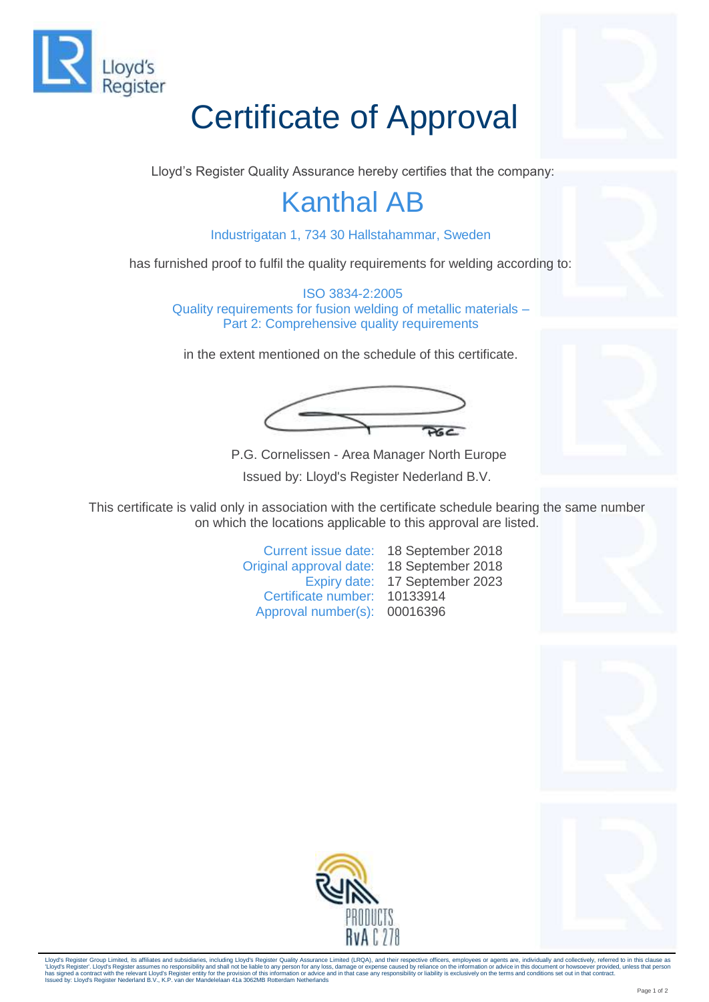

## Certificate of Approval

Lloyd's Register Quality Assurance hereby certifies that the company:

## Kanthal AB

Industrigatan 1, 734 30 Hallstahammar, Sweden

has furnished proof to fulfil the quality requirements for welding according to:

ISO 3834-2:2005 Quality requirements for fusion welding of metallic materials – Part 2: Comprehensive quality requirements

in the extent mentioned on the schedule of this certificate.

 $P6C$ 

P.G. Cornelissen - Area Manager North Europe Issued by: Lloyd's Register Nederland B.V.

This certificate is valid only in association with the certificate schedule bearing the same number on which the locations applicable to this approval are listed.

> Current issue date: 18 September 2018 Original approval date: 18 September 2018 Expiry date: 17 September 2023 Certificate number: 10133914 Approval number(s): 00016396







Lloyd's Register Group Limited, its affiliates and subsidiaries, including Lloyd's Register Quality Assurance Limited (LRQA), and their respective officers, employees or agents are, individually and collectively, referred 'Lloyd's Register'. Lloyd's Register assumes no responsibility and shall not be liable to any person for any loss, damage or expense caused by reliable by helmothor or advice and in this document on our obey in the format has signed a contract with the relevant Lloyd's Register entity for the provision of this information or advice<br>Issued by: Lloyd's Register Nederland B.V., K.P. van der Mandelelaan 41a 3062MB Rotterdam Netherlands